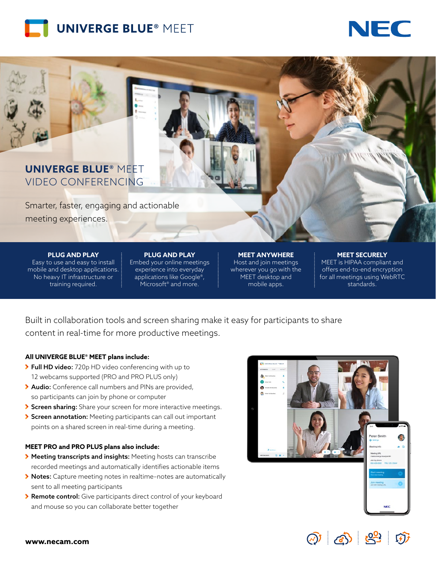



## **UNIVERGE BLUE®** MEET VIDEO CONFERENCING

Smarter, faster, engaging and actionable meeting experiences.

**PLUG AND PLAY**

Easy to use and easy to install mobile and desktop applications. No heavy IT infrastructure or training required.

**PLUG AND PLAY** Embed your online meetings experience into everyday applications like Google®, Microsoft<sup>®</sup> and more.

**MEET ANYWHERE** Host and join meetings wherever you go with the MEET desktop and mobile apps.

#### **MEET SECURELY**

MEET is HIPAA compliant and offers end-to-end encryption for all meetings using WebRTC standards.

Built in collaboration tools and screen sharing make it easy for participants to share content in real-time for more productive meetings.

#### **All UNIVERGE BLUE® MEET plans include:**

- Full HD video: 720p HD video conferencing with up to 12 webcams supported (PRO and PRO PLUS only)
- Audio: Conference call numbers and PINs are provided, so participants can join by phone or computer
- Screen sharing: Share your screen for more interactive meetings.
- Screen annotation: Meeting participants can call out important points on a shared screen in real-time during a meeting.

### **MEET PRO and PRO PLUS plans also include:**

- Meeting transcripts and insights: Meeting hosts can transcribe recorded meetings and automatically identifies actionable items
- ◆ Notes: Capture meeting notes in realtime-notes are automatically sent to all meeting participants
- **> Remote control:** Give participants direct control of your keyboard and mouse so you can collaborate better together